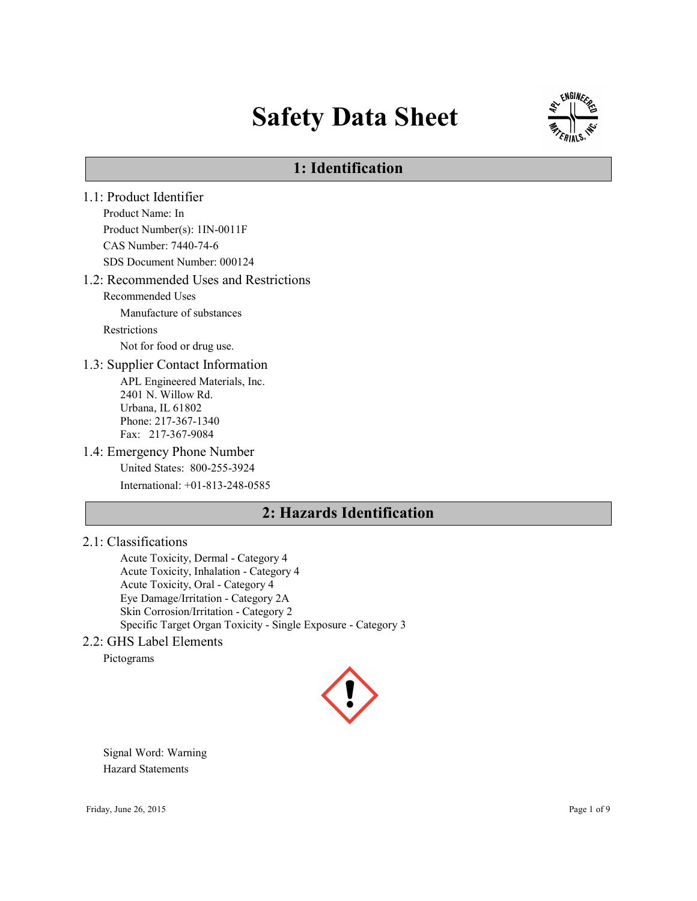# Safety Data Sheet



# 1: Identification

1.1: Product Identifier Product Name: In Product Number(s): 1IN-0011F CAS Number: 7440-74-6 SDS Document Number: 000124 1.2: Recommended Uses and Restrictions Recommended Uses Manufacture of substances Restrictions Not for food or drug use. 1.3: Supplier Contact Information APL Engineered Materials, Inc. 2401 N. Willow Rd. Urbana, IL 61802 Phone: 217-367-1340 Fax: 217-367-9084 1.4: Emergency Phone Number United States: 800-255-3924 International: +01-813-248-0585

# 2: Hazards Identification

### 2.1: Classifications

Acute Toxicity, Dermal - Category 4 Acute Toxicity, Inhalation - Category 4 Acute Toxicity, Oral - Category 4 Eye Damage/Irritation - Category 2A Skin Corrosion/Irritation - Category 2 Specific Target Organ Toxicity - Single Exposure - Category 3

#### 2.2: GHS Label Elements

Pictograms



Signal Word: Warning Hazard Statements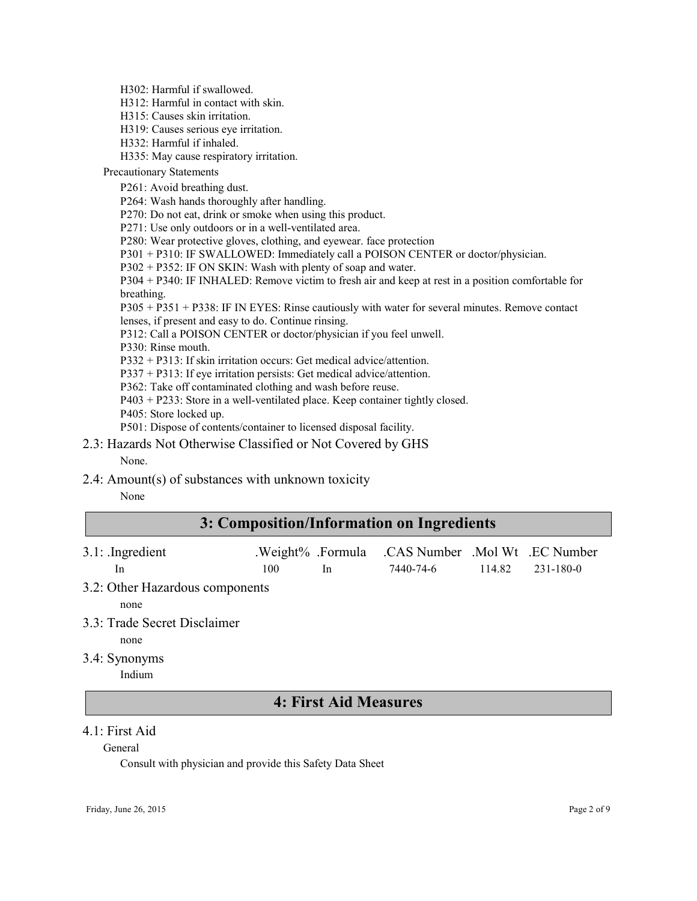H302: Harmful if swallowed.

H312: Harmful in contact with skin.

H315: Causes skin irritation.

H319: Causes serious eye irritation.

H332: Harmful if inhaled.

H335: May cause respiratory irritation.

Precautionary Statements

P261: Avoid breathing dust.

P264: Wash hands thoroughly after handling.

P270: Do not eat, drink or smoke when using this product.

P271: Use only outdoors or in a well-ventilated area.

P280: Wear protective gloves, clothing, and eyewear. face protection

P301 + P310: IF SWALLOWED: Immediately call a POISON CENTER or doctor/physician.

P302 + P352: IF ON SKIN: Wash with plenty of soap and water.

P304 + P340: IF INHALED: Remove victim to fresh air and keep at rest in a position comfortable for breathing.

P305 + P351 + P338: IF IN EYES: Rinse cautiously with water for several minutes. Remove contact lenses, if present and easy to do. Continue rinsing.

P312: Call a POISON CENTER or doctor/physician if you feel unwell.

P330: Rinse mouth.

P332 + P313: If skin irritation occurs: Get medical advice/attention.

P337 + P313: If eye irritation persists: Get medical advice/attention.

P362: Take off contaminated clothing and wash before reuse.

P403 + P233: Store in a well-ventilated place. Keep container tightly closed.

P405: Store locked up.

P501: Dispose of contents/container to licensed disposal facility.

2.3: Hazards Not Otherwise Classified or Not Covered by GHS None.

#### 2.4: Amount(s) of substances with unknown toxicity

None

# 3: Composition/Information on Ingredients

| $3.1:$ Ingredient |     | .Weight% .Formula .CAS Number .Mol Wt .EC Number |                      |
|-------------------|-----|--------------------------------------------------|----------------------|
| -In               | 100 | 7440-74-6                                        | $114.82$ $231-180-0$ |

3.2: Other Hazardous components

none

3.3: Trade Secret Disclaimer

none

3.4: Synonyms

Indium

### 4: First Aid Measures

#### 4.1: First Aid

General

Consult with physician and provide this Safety Data Sheet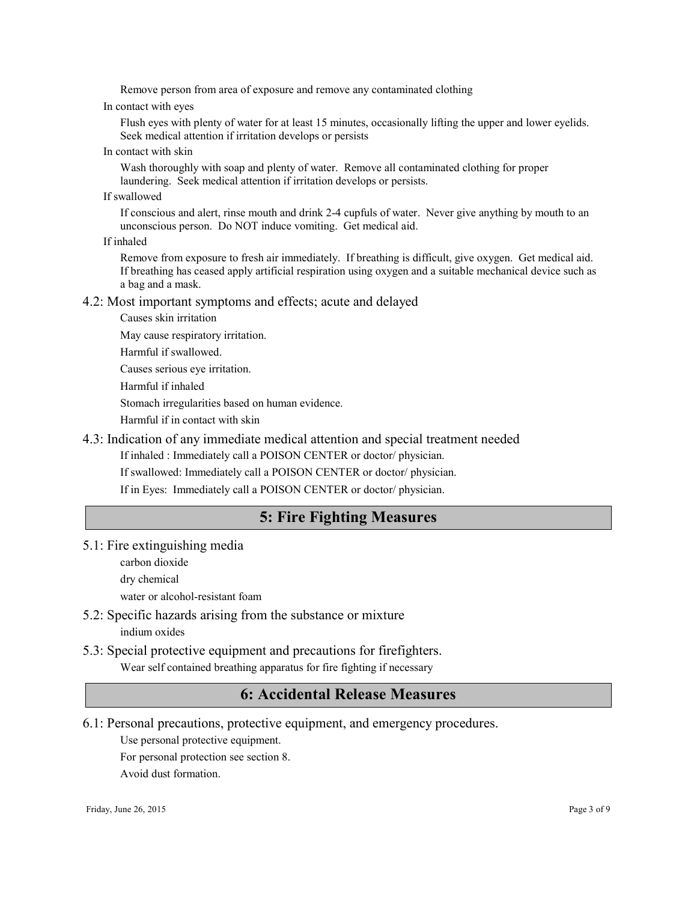Remove person from area of exposure and remove any contaminated clothing

In contact with eyes

Flush eyes with plenty of water for at least 15 minutes, occasionally lifting the upper and lower eyelids. Seek medical attention if irritation develops or persists

In contact with skin

Wash thoroughly with soap and plenty of water. Remove all contaminated clothing for proper laundering. Seek medical attention if irritation develops or persists.

If swallowed

If conscious and alert, rinse mouth and drink 2-4 cupfuls of water. Never give anything by mouth to an unconscious person. Do NOT induce vomiting. Get medical aid.

If inhaled

Remove from exposure to fresh air immediately. If breathing is difficult, give oxygen. Get medical aid. If breathing has ceased apply artificial respiration using oxygen and a suitable mechanical device such as a bag and a mask.

#### 4.2: Most important symptoms and effects; acute and delayed

Causes skin irritation

May cause respiratory irritation.

Harmful if swallowed.

Causes serious eye irritation.

Harmful if inhaled

Stomach irregularities based on human evidence.

Harmful if in contact with skin

#### 4.3: Indication of any immediate medical attention and special treatment needed

If inhaled : Immediately call a POISON CENTER or doctor/ physician.

If swallowed: Immediately call a POISON CENTER or doctor/ physician.

If in Eyes: Immediately call a POISON CENTER or doctor/ physician.

### 5: Fire Fighting Measures

5.1: Fire extinguishing media

carbon dioxide

dry chemical

water or alcohol-resistant foam

5.2: Specific hazards arising from the substance or mixture indium oxides

#### 5.3: Special protective equipment and precautions for firefighters. Wear self contained breathing apparatus for fire fighting if necessary

# 6: Accidental Release Measures

6.1: Personal precautions, protective equipment, and emergency procedures.

Use personal protective equipment.

For personal protection see section 8.

Avoid dust formation.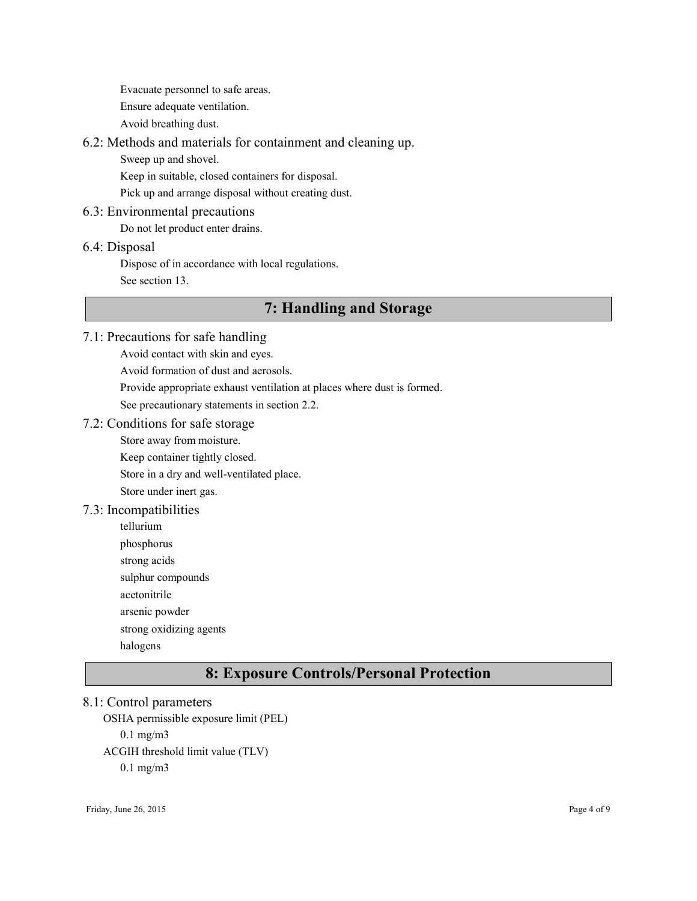Evacuate personnel to safe areas. Ensure adequate ventilation.

Avoid breathing dust.

#### 6.2: Methods and materials for containment and cleaning up.

Sweep up and shovel.

Keep in suitable, closed containers for disposal.

Pick up and arrange disposal without creating dust.

#### 6.3: Environmental precautions

Do not let product enter drains.

#### 6.4: Disposal

Dispose of in accordance with local regulations.

See section 13.

# 7: Handling and Storage

### 7.1: Precautions for safe handling

Avoid contact with skin and eyes. Avoid formation of dust and aerosols. Provide appropriate exhaust ventilation at places where dust is formed. See precautionary statements in section 2.2.

#### 7.2: Conditions for safe storage

Store away from moisture.

Keep container tightly closed.

Store in a dry and well-ventilated place.

Store under inert gas.

#### 7.3: Incompatibilities

tellurium phosphorus strong acids sulphur compounds acetonitrile arsenic powder strong oxidizing agents halogens

# 8: Exposure Controls/Personal Protection

#### 8.1: Control parameters

OSHA permissible exposure limit (PEL) 0.1 mg/m3 ACGIH threshold limit value (TLV) 0.1 mg/m3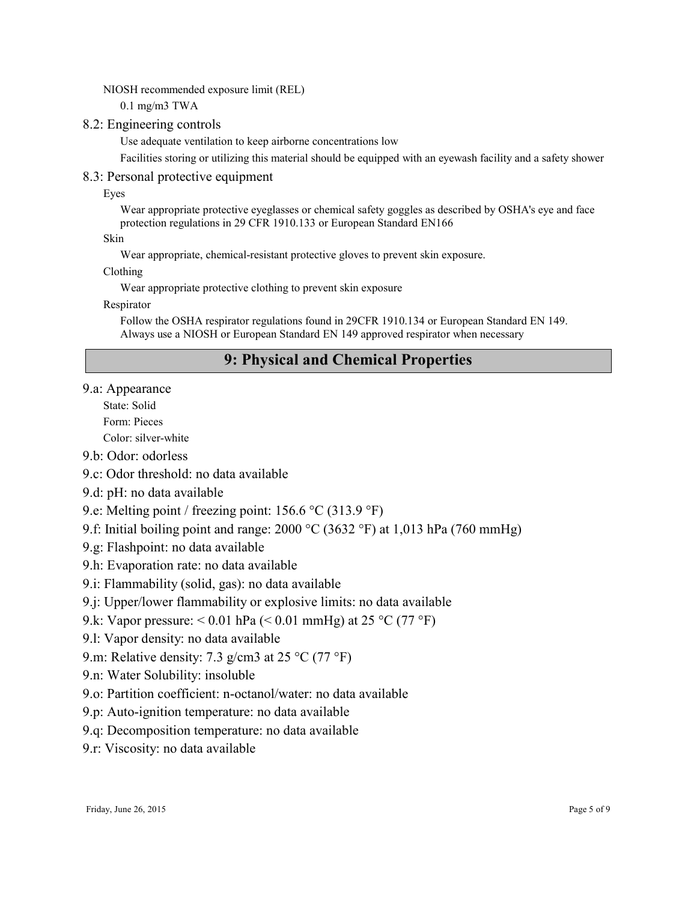NIOSH recommended exposure limit (REL)

0.1 mg/m3 TWA

#### 8.2: Engineering controls

Use adequate ventilation to keep airborne concentrations low

Facilities storing or utilizing this material should be equipped with an eyewash facility and a safety shower

#### 8.3: Personal protective equipment

Eyes

Wear appropriate protective eyeglasses or chemical safety goggles as described by OSHA's eye and face protection regulations in 29 CFR 1910.133 or European Standard EN166

Skin

Wear appropriate, chemical-resistant protective gloves to prevent skin exposure.

Clothing

Wear appropriate protective clothing to prevent skin exposure

Respirator

Follow the OSHA respirator regulations found in 29CFR 1910.134 or European Standard EN 149. Always use a NIOSH or European Standard EN 149 approved respirator when necessary

# 9: Physical and Chemical Properties

#### 9.a: Appearance

State: Solid

Form: Pieces

Color: silver-white

- 9.b: Odor: odorless
- 9.c: Odor threshold: no data available
- 9.d: pH: no data available
- 9.e: Melting point / freezing point: 156.6 °C (313.9 °F)
- 9.f: Initial boiling point and range: 2000 °C (3632 °F) at 1,013 hPa (760 mmHg)
- 9.g: Flashpoint: no data available
- 9.h: Evaporation rate: no data available
- 9.i: Flammability (solid, gas): no data available
- 9.j: Upper/lower flammability or explosive limits: no data available
- 9.k: Vapor pressure:  $0.01$  hPa ( $0.01$  mmHg) at 25 °C (77 °F)
- 9.l: Vapor density: no data available
- 9.m: Relative density: 7.3 g/cm3 at 25  $^{\circ}$ C (77  $^{\circ}$ F)
- 9.n: Water Solubility: insoluble
- 9.o: Partition coefficient: n-octanol/water: no data available
- 9.p: Auto-ignition temperature: no data available
- 9.q: Decomposition temperature: no data available
- 9.r: Viscosity: no data available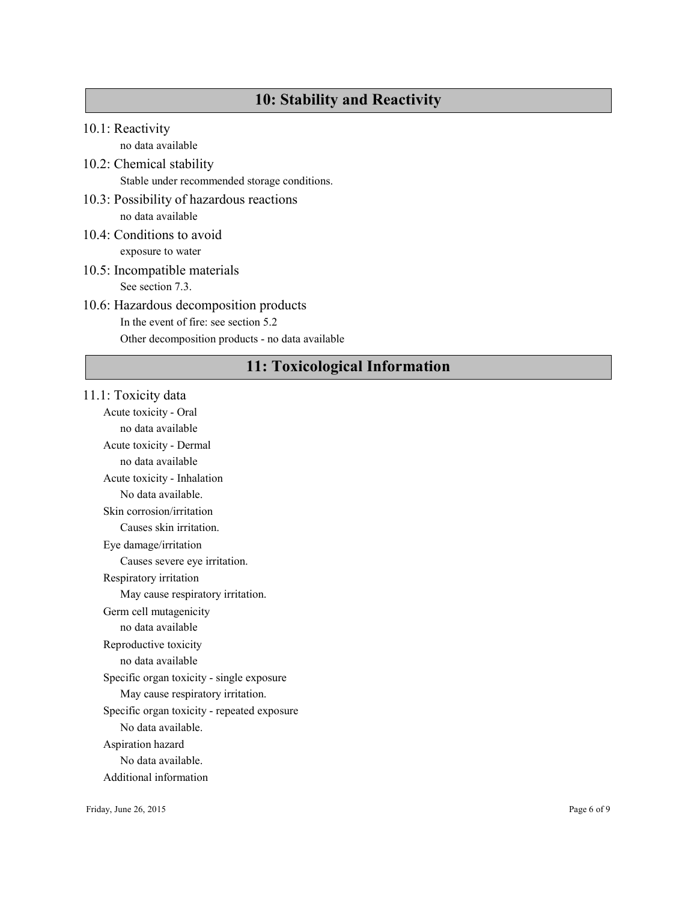# 10: Stability and Reactivity

10.1: Reactivity

no data available

- 10.2: Chemical stability Stable under recommended storage conditions.
- 10.3: Possibility of hazardous reactions no data available
- 10.4: Conditions to avoid exposure to water
- 10.5: Incompatible materials See section 7.3.

# 10.6: Hazardous decomposition products In the event of fire: see section 5.2

Other decomposition products - no data available

# 11: Toxicological Information

#### 11.1: Toxicity data

Acute toxicity - Oral no data available Acute toxicity - Dermal no data available Acute toxicity - Inhalation No data available. Skin corrosion/irritation Causes skin irritation. Eye damage/irritation Causes severe eye irritation. Respiratory irritation May cause respiratory irritation. Germ cell mutagenicity no data available Reproductive toxicity no data available Specific organ toxicity - single exposure May cause respiratory irritation. Specific organ toxicity - repeated exposure No data available. Aspiration hazard No data available.

Additional information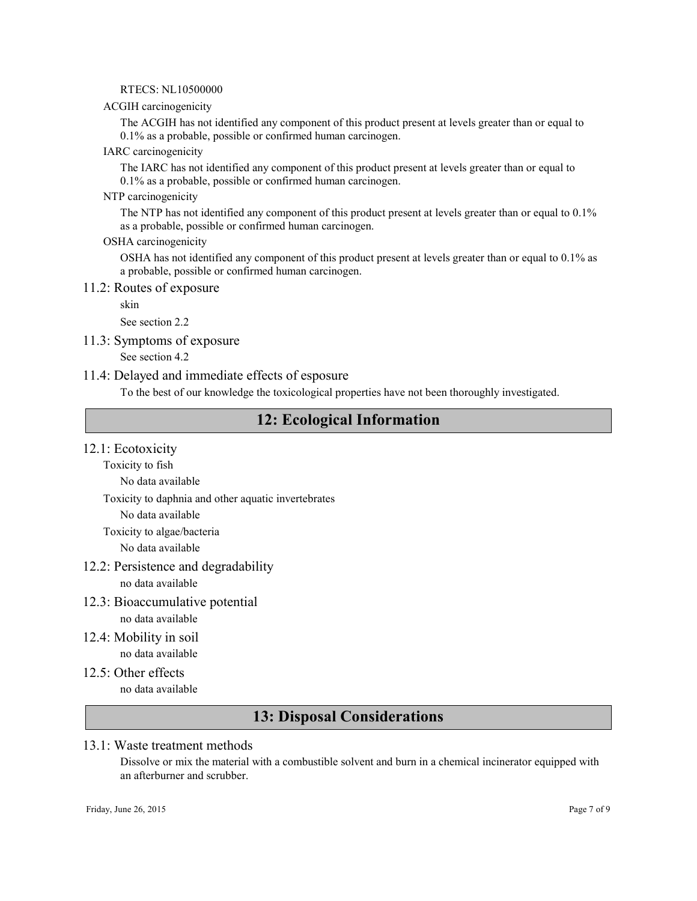#### RTECS: NL10500000

#### ACGIH carcinogenicity

The ACGIH has not identified any component of this product present at levels greater than or equal to 0.1% as a probable, possible or confirmed human carcinogen.

#### IARC carcinogenicity

The IARC has not identified any component of this product present at levels greater than or equal to 0.1% as a probable, possible or confirmed human carcinogen.

#### NTP carcinogenicity

The NTP has not identified any component of this product present at levels greater than or equal to 0.1% as a probable, possible or confirmed human carcinogen.

#### OSHA carcinogenicity

OSHA has not identified any component of this product present at levels greater than or equal to 0.1% as a probable, possible or confirmed human carcinogen.

#### 11.2: Routes of exposure

skin

See section 2.2

11.3: Symptoms of exposure

See section 4.2

#### 11.4: Delayed and immediate effects of esposure

To the best of our knowledge the toxicological properties have not been thoroughly investigated.

### 12: Ecological Information

#### 12.1: Ecotoxicity

Toxicity to fish

No data available

Toxicity to daphnia and other aquatic invertebrates

No data available

Toxicity to algae/bacteria

No data available

12.2: Persistence and degradability

no data available

- 12.3: Bioaccumulative potential no data available
- 12.4: Mobility in soil no data available
- 12.5: Other effects no data available

# 13: Disposal Considerations

#### 13.1: Waste treatment methods

Dissolve or mix the material with a combustible solvent and burn in a chemical incinerator equipped with an afterburner and scrubber.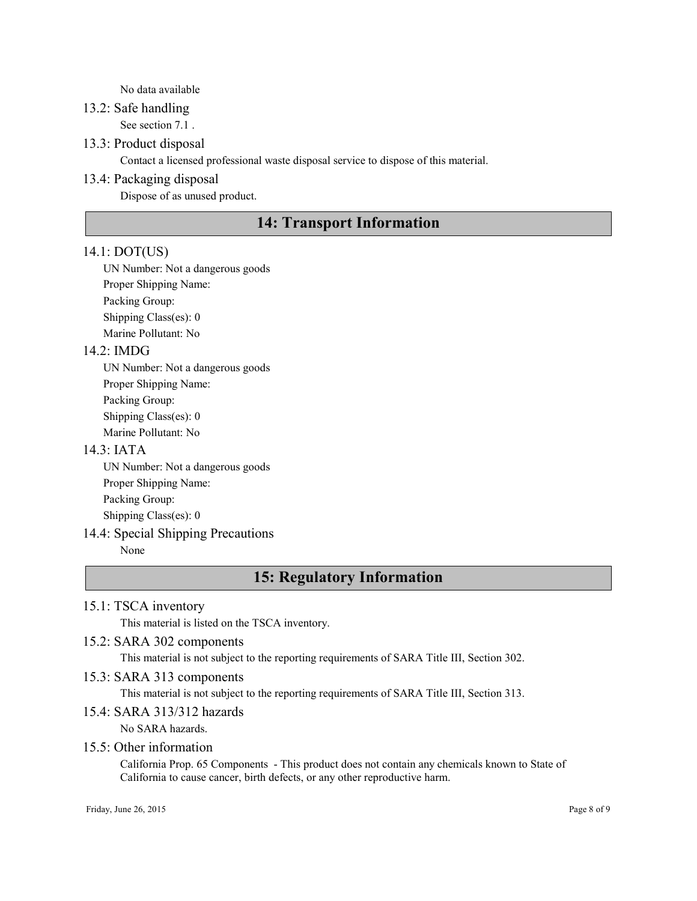#### No data available

#### 13.2: Safe handling

See section 7.1 .

#### 13.3: Product disposal

Contact a licensed professional waste disposal service to dispose of this material.

#### 13.4: Packaging disposal

Dispose of as unused product.

# 14: Transport Information

#### 14.1: DOT(US)

UN Number: Not a dangerous goods Proper Shipping Name: Packing Group: Shipping Class(es): 0 Marine Pollutant: No

#### 14.2: IMDG

UN Number: Not a dangerous goods Proper Shipping Name: Packing Group: Shipping Class(es): 0 Marine Pollutant: No

#### 14.3: IATA

UN Number: Not a dangerous goods Proper Shipping Name: Packing Group: Shipping Class(es): 0

#### 14.4: Special Shipping Precautions

None

# 15: Regulatory Information

#### 15.1: TSCA inventory

This material is listed on the TSCA inventory.

#### 15.2: SARA 302 components

This material is not subject to the reporting requirements of SARA Title III, Section 302.

#### 15.3: SARA 313 components

This material is not subject to the reporting requirements of SARA Title III, Section 313.

#### 15.4: SARA 313/312 hazards

No SARA hazards.

#### 15.5: Other information

California Prop. 65 Components - This product does not contain any chemicals known to State of California to cause cancer, birth defects, or any other reproductive harm.